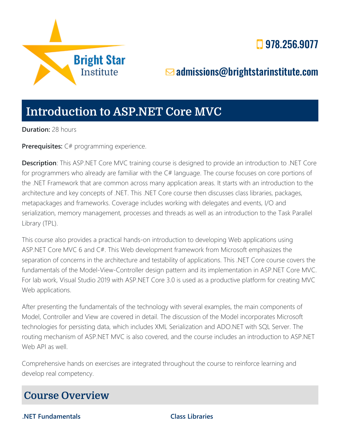

# **978.256.9077**

# [admissions@brightstarinstitute.com](mailto:admissions@brightstarinstitute.com)

# **Introduction to ASP.NET Core MVC**

**Duration:** 28 hours

**Prerequisites:** C# programming experience.

**Description**: This ASP.NET Core MVC training course is designed to provide an introduction to .NET Core for programmers who already are familiar with the C# language. The course focuses on core portions of the .NET Framework that are common across many application areas. It starts with an introduction to the architecture and key concepts of .NET. This .NET Core course then discusses class libraries, packages, metapackages and frameworks. Coverage includes working with delegates and events, I/O and serialization, memory management, processes and threads as well as an introduction to the Task Parallel Library (TPL).

This course also provides a practical hands-on introduction to developing Web applications using ASP.NET Core MVC 6 and C#. This Web development framework from Microsoft emphasizes the separation of concerns in the architecture and testability of applications. This .NET Core course covers the fundamentals of the Model-View-Controller design pattern and its implementation in ASP.NET Core MVC. For lab work, Visual Studio 2019 with ASP.NET Core 3.0 is used as a productive platform for creating MVC Web applications.

After presenting the fundamentals of the technology with several examples, the main components of Model, Controller and View are covered in detail. The discussion of the Model incorporates Microsoft technologies for persisting data, which includes XML Serialization and ADO.NET with SQL Server. The routing mechanism of ASP.NET MVC is also covered, and the course includes an introduction to ASP.NET Web API as well.

Comprehensive hands on exercises are integrated throughout the course to reinforce learning and develop real competency.

# **Course Overview**

**.NET Fundamentals Class Libraries**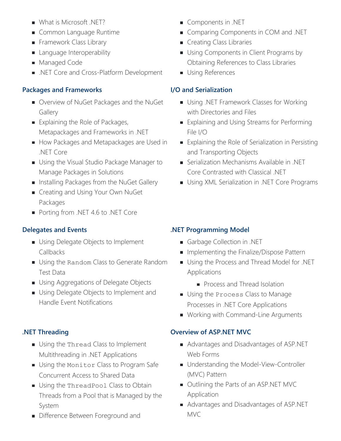- What is Microsoft .NET?
- Common Language Runtime
- Framework Class Library
- **Language Interoperability**
- **Managed Code**
- .NET Core and Cross-Platform Development

### **Packages and Frameworks**

- **D** Overview of NuGet Packages and the NuGet **Gallery**
- Explaining the Role of Packages, Metapackages and Frameworks in .NET
- How Packages and Metapackages are Used in .NET Core
- **Using the Visual Studio Package Manager to** Manage Packages in Solutions
- **Installing Packages from the NuGet Gallery**
- **Creating and Using Your Own NuGet** Packages
- Porting from .NET 4.6 to .NET Core

#### **Delegates and Events**

- **Using Delegate Objects to Implement** Callbacks
- **Using the Random Class to Generate Random** Test Data
- **Using Aggregations of Delegate Objects**
- Using Delegate Objects to Implement and Handle Event Notifications

# **.NET Threading**

- Using the Thread Class to Implement Multithreading in .NET Applications
- Using the Monitor Class to Program Safe Concurrent Access to Shared Data
- Using the ThreadPool Class to Obtain Threads from a Pool that is Managed by the System
- **Difference Between Foreground and**
- **Components in .NET**
- **Comparing Components in COM and .NET**
- **Creating Class Libraries**
- Using Components in Client Programs by Obtaining References to Class Libraries
- **Using References**

# **I/O and Serialization**

- **Using .NET Framework Classes for Working** with Directories and Files
- Explaining and Using Streams for Performing File I/O
- **Explaining the Role of Serialization in Persisting** and Transporting Objects
- Serialization Mechanisms Available in .NET Core Contrasted with Classical .NET
- **Using XML Serialization in .NET Core Programs**

# **.NET Programming Model**

- **Garbage Collection in .NET**
- Implementing the Finalize/Dispose Pattern
- **Using the Process and Thread Model for .NET** Applications
	- **Process and Thread Isolation**
- **Using the Process Class to Manage** Processes in .NET Core Applications
- **Working with Command-Line Arguments**

# **Overview of ASP.NET MVC**

- Advantages and Disadvantages of ASP.NET Web Forms
- **Understanding the Model-View-Controller** (MVC) Pattern
- Outlining the Parts of an ASP.NET MVC Application
- Advantages and Disadvantages of ASP.NET MVC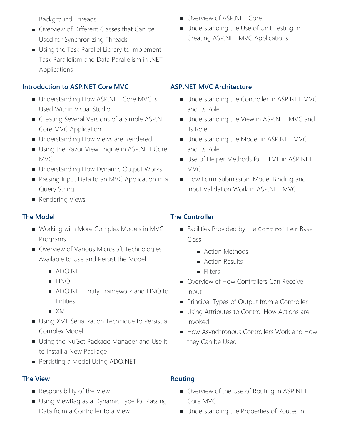Background Threads

- Overview of Different Classes that Can be Used for Synchronizing Threads
- Using the Task Parallel Library to Implement Task Parallelism and Data Parallelism in .NET Applications

#### **Introduction to ASP.NET Core MVC**

- **Understanding How ASP.NET Core MVC is** Used Within Visual Studio
- **Creating Several Versions of a Simple ASP.NET** Core MVC Application
- **Understanding How Views are Rendered**
- **Using the Razor View Engine in ASP.NET Core** MVC
- **Understanding How Dynamic Output Works**
- Passing Input Data to an MVC Application in a Query String
- **Rendering Views**

#### **The Model**

- Working with More Complex Models in MVC Programs
- **D** Overview of Various Microsoft Technologies Available to Use and Persist the Model
	- ADO.NET
	- **LINQ**
	- **ADO.NET Entity Framework and LINQ to** Entities
	- XML
- **Using XML Serialization Technique to Persist a** Complex Model
- **Using the NuGet Package Manager and Use it** to Install a New Package
- **Persisting a Model Using ADO.NET**

#### **The View**

- **Responsibility of the View**
- Using ViewBag as a Dynamic Type for Passing Data from a Controller to a View
- **Overview of ASP.NET Core**
- **Understanding the Use of Unit Testing in** Creating ASP.NET MVC Applications

#### **ASP.NET MVC Architecture**

- **Understanding the Controller in ASP.NET MVC** and its Role
- **Understanding the View in ASP.NET MVC and** its Role
- **Understanding the Model in ASP.NET MVC** and its Role
- **Use of Helper Methods for HTML in ASP.NET** MVC
- How Form Submission, Model Binding and Input Validation Work in ASP.NET MVC

### **The Controller**

- Facilities Provided by the Controller Base Class
	- **Action Methods**
	- Action Results
	- **Filters**
- **D** Overview of How Controllers Can Receive Input
- **Principal Types of Output from a Controller**
- **Using Attributes to Control How Actions are** Invoked
- How Asynchronous Controllers Work and How they Can be Used

#### **Routing**

- **D** Overview of the Use of Routing in ASP.NET Core MVC
- **Understanding the Properties of Routes in**